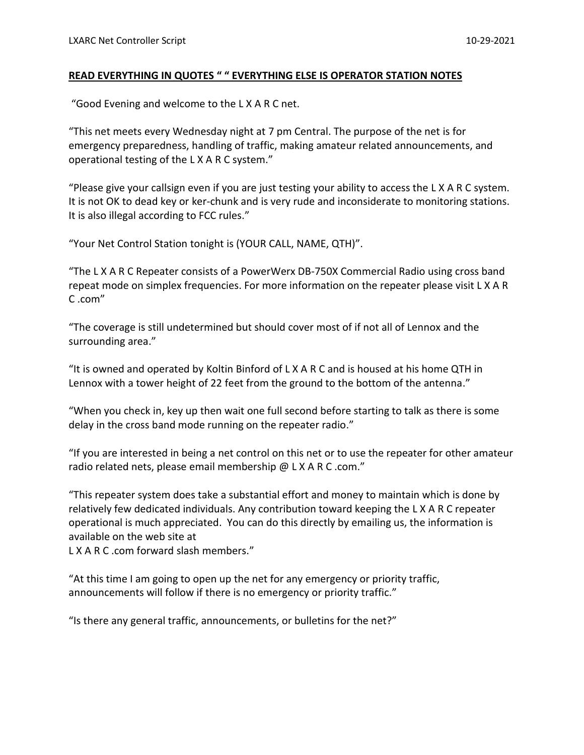## **READ EVERYTHING IN QUOTES " " EVERYTHING ELSE IS OPERATOR STATION NOTES**

"Good Evening and welcome to the L X A R C net.

"This net meets every Wednesday night at 7 pm Central. The purpose of the net is for emergency preparedness, handling of traffic, making amateur related announcements, and operational testing of the L X A R C system."

"Please give your callsign even if you are just testing your ability to access the L X A R C system. It is not OK to dead key or ker-chunk and is very rude and inconsiderate to monitoring stations. It is also illegal according to FCC rules."

"Your Net Control Station tonight is (YOUR CALL, NAME, QTH)".

"The L X A R C Repeater consists of a PowerWerx DB-750X Commercial Radio using cross band repeat mode on simplex frequencies. For more information on the repeater please visit L X A R C .com"

"The coverage is still undetermined but should cover most of if not all of Lennox and the surrounding area."

"It is owned and operated by Koltin Binford of L X A R C and is housed at his home QTH in Lennox with a tower height of 22 feet from the ground to the bottom of the antenna."

"When you check in, key up then wait one full second before starting to talk as there is some delay in the cross band mode running on the repeater radio."

"If you are interested in being a net control on this net or to use the repeater for other amateur radio related nets, please email membership @ L X A R C .com."

"This repeater system does take a substantial effort and money to maintain which is done by relatively few dedicated individuals. Any contribution toward keeping the L X A R C repeater operational is much appreciated. You can do this directly by emailing us, the information is available on the web site at

L X A R C .com forward slash members."

"At this time I am going to open up the net for any emergency or priority traffic, announcements will follow if there is no emergency or priority traffic."

"Is there any general traffic, announcements, or bulletins for the net?"